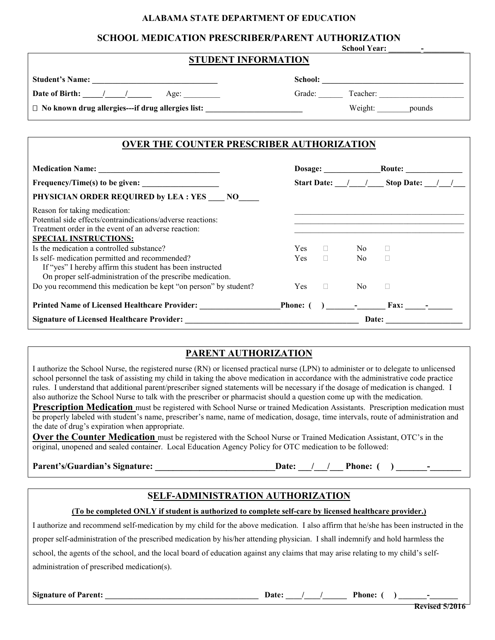#### **ALABAMA STATE DEPARTMENT OF EDUCATION**

## **SCHOOL MEDICATION PRESCRIBER/PARENT AUTHORIZATION**

| <b>STUDENT INFORMATION</b>                               | <b>School Year:</b>                              |  |  |
|----------------------------------------------------------|--------------------------------------------------|--|--|
| <b>Student's Name:</b>                                   | School:                                          |  |  |
| Date of Birth: / /<br>Age:                               | Grade:<br>Teacher:                               |  |  |
| $\Box$ No known drug allergies---if drug allergies list: | Weight:<br>pounds                                |  |  |
|                                                          |                                                  |  |  |
|                                                          | <b>OVER THE COUNTER PRESCRIBER AUTHORIZATION</b> |  |  |

|                                                                                                                                                                                      | Dosage:    |        |                               | Route: and the second second second second second second second second second second second second second second second second second second second second second second second second second second second second second seco |  |
|--------------------------------------------------------------------------------------------------------------------------------------------------------------------------------------|------------|--------|-------------------------------|--------------------------------------------------------------------------------------------------------------------------------------------------------------------------------------------------------------------------------|--|
| $Frequency/Time(s)$ to be given:                                                                                                                                                     |            |        |                               | Start Date: / / Stop Date: / /                                                                                                                                                                                                 |  |
| PHYSICIAN ORDER REQUIRED by LEA : YES NO                                                                                                                                             |            |        |                               |                                                                                                                                                                                                                                |  |
| Reason for taking medication:<br>Potential side effects/contraindications/adverse reactions:<br>Treatment order in the event of an adverse reaction:<br><b>SPECIAL INSTRUCTIONS:</b> |            |        |                               |                                                                                                                                                                                                                                |  |
| Is the medication a controlled substance?                                                                                                                                            | Yes.       |        | No.                           |                                                                                                                                                                                                                                |  |
| Is self- medication permitted and recommended?<br>If "yes" I hereby affirm this student has been instructed<br>On proper self-administration of the prescribe medication.            | <b>Yes</b> | $\Box$ | No.                           |                                                                                                                                                                                                                                |  |
| Do you recommend this medication be kept "on person" by student?                                                                                                                     | <b>Yes</b> | $\Box$ | N <sub>0</sub>                |                                                                                                                                                                                                                                |  |
| <b>Printed Name of Licensed Healthcare Provider:</b>                                                                                                                                 | Phone: (   |        | and the state of the state of | Fax:                                                                                                                                                                                                                           |  |
| <b>Signature of Licensed Healthcare Provider:</b>                                                                                                                                    | Date:      |        |                               |                                                                                                                                                                                                                                |  |

## **PARENT AUTHORIZATION**

I authorize the School Nurse, the registered nurse (RN) or licensed practical nurse (LPN) to administer or to delegate to unlicensed school personnel the task of assisting my child in taking the above medication in accordance with the administrative code practice rules. I understand that additional parent/prescriber signed statements will be necessary if the dosage of medication is changed. I also authorize the School Nurse to talk with the prescriber or pharmacist should a question come up with the medication.

**Prescription Medication** must be registered with School Nurse or trained Medication Assistants. Prescription medication must be properly labeled with student's name, prescriber's name, name of medication, dosage, time intervals, route of administration and the date of drug's expiration when appropriate.

**Over the Counter Medication** must be registered with the School Nurse or Trained Medication Assistant, OTC's in the original, unopened and sealed container. Local Education Agency Policy for OTC medication to be followed:

Parent's/Guardian's Signature: \_\_\_\_\_\_\_\_\_\_\_\_\_\_\_\_\_\_\_\_\_\_\_\_\_\_\_\_\_\_\_\_\_\_\_Date: \_\_\_/\_\_\_/\_\_\_\_\_Phone: ( ) \_\_\_\_\_\_\_\_\_\_\_\_\_\_

# **SELF-ADMINISTRATION AUTHORIZATION**

## **(To be completed ONLY if student is authorized to complete self-care by licensed healthcare provider.)**

I authorize and recommend self-medication by my child for the above medication. I also affirm that he/she has been instructed in the proper self-administration of the prescribed medication by his/her attending physician. I shall indemnify and hold harmless the school, the agents of the school, and the local board of education against any claims that may arise relating to my child's selfadministration of prescribed medication(s).

**Signature of Parent: \_\_\_\_\_\_\_\_\_\_\_\_\_\_\_\_\_\_\_\_\_\_\_\_\_\_\_\_\_\_\_\_\_\_\_\_\_\_ Date: \_\_\_\_/\_\_\_\_/\_\_\_\_\_\_ Phone: ( ) \_\_\_\_\_\_\_-\_\_\_\_\_\_\_**